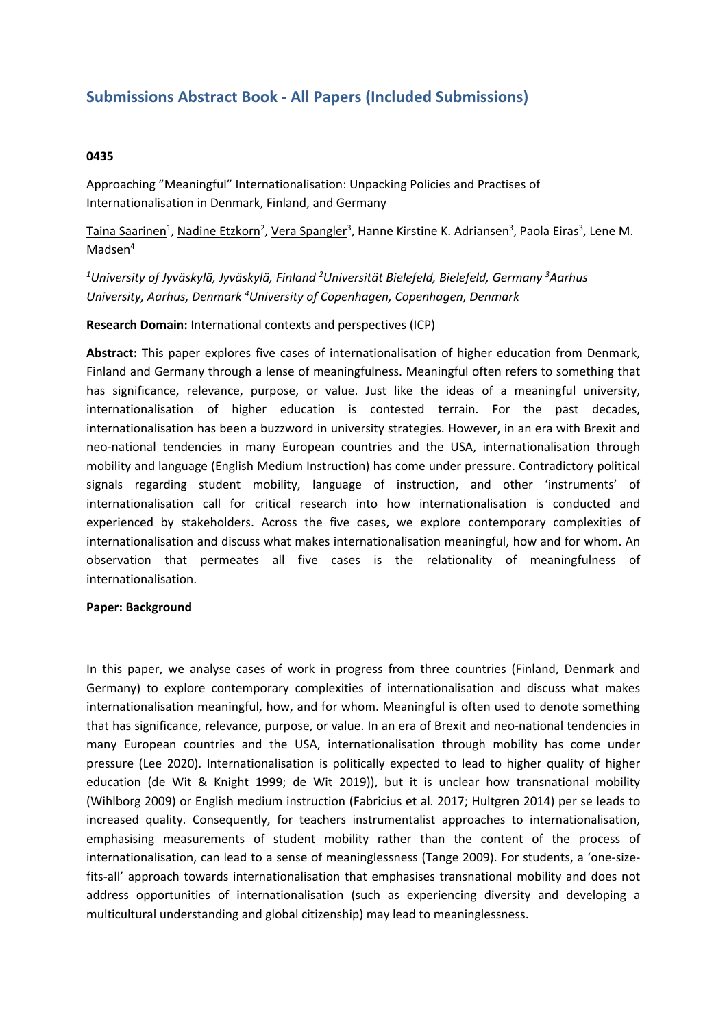# **Submissions Abstract Book - All Papers (Included Submissions)**

# **0435**

Approaching "Meaningful" Internationalisation: Unpacking Policies and Practises of Internationalisation in Denmark, Finland, and Germany

Taina Saarinen<sup>1</sup>, Nadine Etzkorn<sup>2</sup>, Vera Spangler<sup>3</sup>, Hanne Kirstine K. Adriansen<sup>3</sup>, Paola Eiras<sup>3</sup>, Lene M. Madsen<sup>4</sup>

*1 University of Jyväskylä, Jyväskylä, Finland <sup>2</sup> Universität Bielefeld, Bielefeld, Germany 3 Aarhus University, Aarhus, Denmark 4 University of Copenhagen, Copenhagen, Denmark*

# **Research Domain:** International contexts and perspectives (ICP)

**Abstract:** This paper explores five cases of internationalisation of higher education from Denmark, Finland and Germany through <sup>a</sup> lense of meaningfulness. Meaningful often refers to something that has significance, relevance, purpose, or value. Just like the ideas of <sup>a</sup> meaningful university, internationalisation of higher education is contested terrain. For the past decades, internationalisation has been <sup>a</sup> buzzword in university strategies. However, in an era with Brexit and neo-national tendencies in many European countries and the USA, internationalisation through mobility and language (English Medium Instruction) has come under pressure. Contradictory political signals regarding student mobility, language of instruction, and other 'instruments' of internationalisation call for critical research into how internationalisation is conducted and experienced by stakeholders. Across the five cases, we explore contemporary complexities of internationalisation and discuss what makes internationalisation meaningful, how and for whom. An observation that permeates all five cases is the relationality of meaningfulness of internationalisation.

#### **Paper: Background**

In this paper, we analyse cases of work in progress from three countries (Finland, Denmark and Germany) to explore contemporary complexities of internationalisation and discuss what makes internationalisation meaningful, how, and for whom. Meaningful is often used to denote something that has significance, relevance, purpose, or value. In an era of Brexit and neo-national tendencies in many European countries and the USA, internationalisation through mobility has come under pressure (Lee 2020). Internationalisation is politically expected to lead to higher quality of higher education (de Wit & Knight 1999; de Wit 2019)), but it is unclear how transnational mobility (Wihlborg 2009) or English medium instruction (Fabricius et al. 2017; Hultgren 2014) per se leads to increased quality. Consequently, for teachers instrumentalist approaches to internationalisation, emphasising measurements of student mobility rather than the content of the process of internationalisation, can lead to <sup>a</sup> sense of meaninglessness (Tange 2009). For students, <sup>a</sup> 'one-sizefits-all' approach towards internationalisation that emphasises transnational mobility and does not address opportunities of internationalisation (such as experiencing diversity and developing <sup>a</sup> multicultural understanding and global citizenship) may lead to meaninglessness.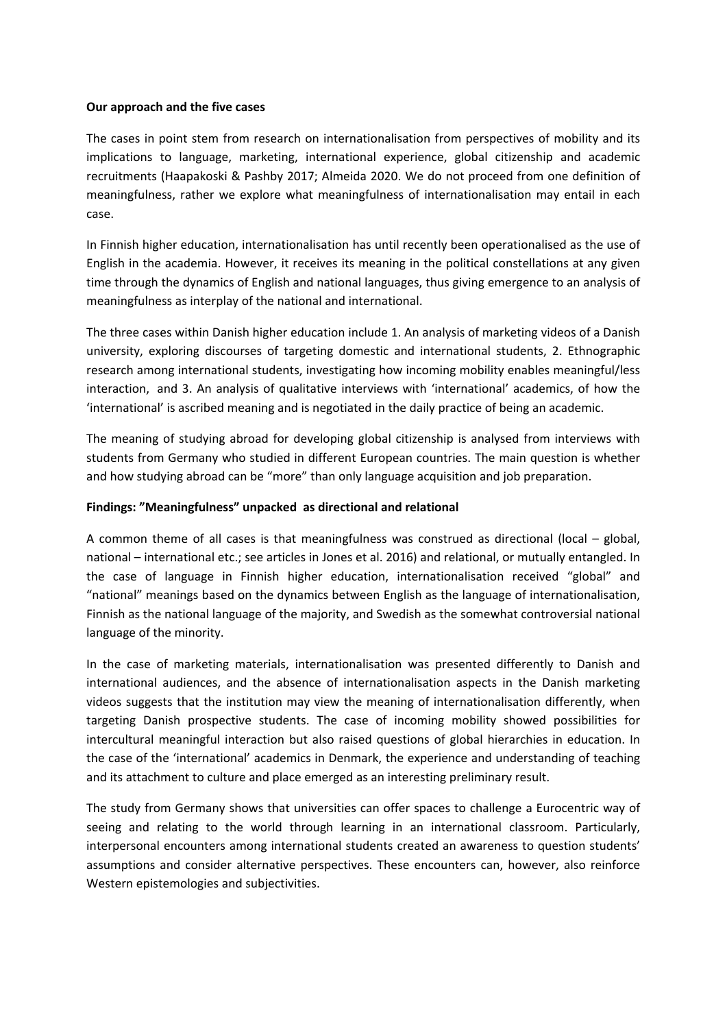# **Our approach and the five cases**

The cases in point stem from research on internationalisation from perspectives of mobility and its implications to language, marketing, international experience, global citizenship and academic recruitments (Haapakoski & Pashby 2017; Almeida 2020. We do not proceed from one definition of meaningfulness, rather we explore what meaningfulness of internationalisation may entail in each case.

In Finnish higher education, internationalisation has until recently been operationalised as the use of English in the academia. However, it receives its meaning in the political constellations at any given time through the dynamics of English and national languages, thus giving emergence to an analysis of meaningfulness as interplay of the national and international.

The three cases within Danish higher education include 1. An analysis of marketing videos of <sup>a</sup> Danish university, exploring discourses of targeting domestic and international students, 2. Ethnographic research among international students, investigating how incoming mobility enables meaningful/less interaction, and 3. An analysis of qualitative interviews with 'international' academics, of how the 'international' is ascribed meaning and is negotiated in the daily practice of being an academic.

The meaning of studying abroad for developing global citizenship is analysed from interviews with students from Germany who studied in different European countries. The main question is whether and how studying abroad can be "more" than only language acquisition and job preparation.

#### **Findings: "Meaningfulness" unpacked as directional and relational**

A common theme of all cases is that meaningfulness was construed as directional (local – global, national – international etc.; see articles in Jones et al. 2016) and relational, or mutually entangled. In the case of language in Finnish higher education, internationalisation received "global" and "national" meanings based on the dynamics between English as the language of internationalisation, Finnish as the national language of the majority, and Swedish as the somewhat controversial national language of the minority.

In the case of marketing materials, internationalisation was presented differently to Danish and international audiences, and the absence of internationalisation aspects in the Danish marketing videos suggests that the institution may view the meaning of internationalisation differently, when targeting Danish prospective students. The case of incoming mobility showed possibilities for intercultural meaningful interaction but also raised questions of global hierarchies in education. In the case of the 'international' academics in Denmark, the experience and understanding of teaching and its attachment to culture and place emerged as an interesting preliminary result.

The study from Germany shows that universities can offer spaces to challenge <sup>a</sup> Eurocentric way of seeing and relating to the world through learning in an international classroom. Particularly, interpersonal encounters among international students created an awareness to question students' assumptions and consider alternative perspectives. These encounters can, however, also reinforce Western epistemologies and subjectivities.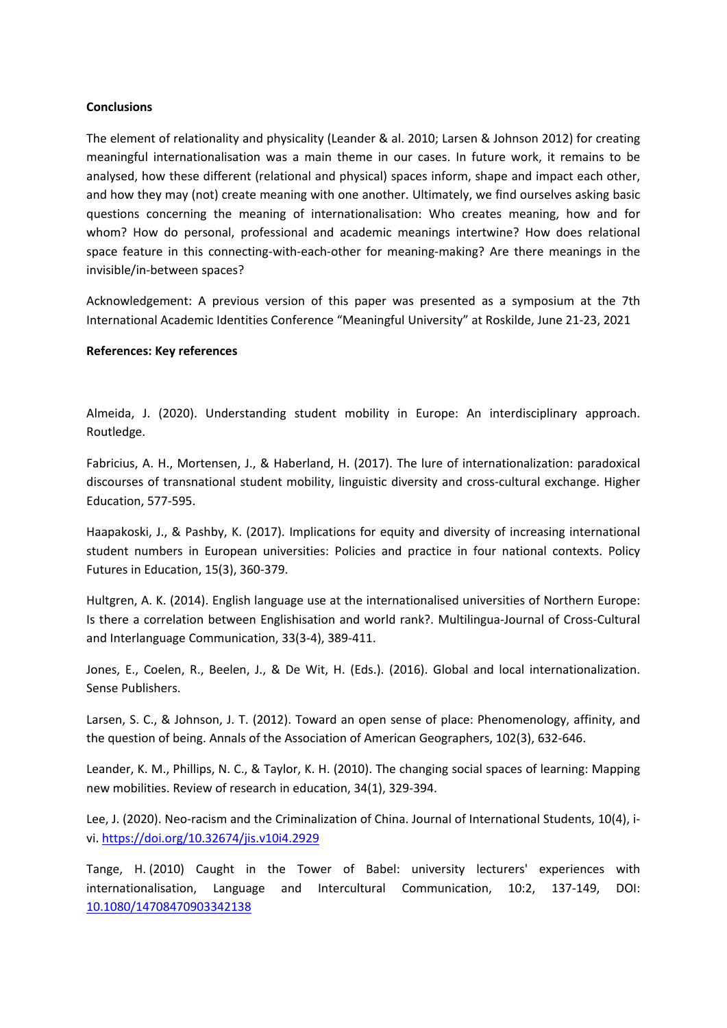# **Conclusions**

The element of relationality and physicality (Leander & al. 2010; Larsen & Johnson 2012) for creating meaningful internationalisation was <sup>a</sup> main theme in our cases. In future work, it remains to be analysed, how these different (relational and physical) spaces inform, shape and impact each other, and how they may (not) create meaning with one another. Ultimately, we find ourselves asking basic questions concerning the meaning of internationalisation: Who creates meaning, how and for whom? How do personal, professional and academic meanings intertwine? How does relational space feature in this connecting-with-each-other for meaning-making? Are there meanings in the invisible/in-between spaces?

Acknowledgement: A previous version of this paper was presented as <sup>a</sup> symposium at the 7th International Academic Identities Conference "Meaningful University" at Roskilde, June 21-23, 2021

#### **References: Key references**

Almeida, J. (2020). Understanding student mobility in Europe: An interdisciplinary approach. Routledge.

Fabricius, A. H., Mortensen, J., & Haberland, H. (2017). The lure of internationalization: paradoxical discourses of transnational student mobility, linguistic diversity and cross-cultural exchange. Higher Education, 577-595.

Haapakoski, J., & Pashby, K. (2017). Implications for equity and diversity of increasing international student numbers in European universities: Policies and practice in four national contexts. Policy Futures in Education, 15(3), 360-379.

Hultgren, A. K. (2014). English language use at the internationalised universities of Northern Europe: Is there <sup>a</sup> correlation between Englishisation and world rank?. Multilingua-Journal of Cross-Cultural and Interlanguage Communication, 33(3-4), 389-411.

Jones, E., Coelen, R., Beelen, J., & De Wit, H. (Eds.). (2016). Global and local internationalization. Sense Publishers.

Larsen, S. C., & Johnson, J. T. (2012). Toward an open sense of place: Phenomenology, affinity, and the question of being. Annals of the Association of American Geographers, 102(3), 632-646.

Leander, K. M., Phillips, N. C., & Taylor, K. H. (2010). The changing social spaces of learning: Mapping new mobilities. Review of research in education, 34(1), 329-394.

Lee, J. (2020). Neo-racism and the Criminalization of China. Journal of International Students, 10(4), ivi. <https://doi.org/10.32674/jis.v10i4.2929>

Tange, H. (2010) Caught in the Tower of Babel: university lecturers' experiences with internationalisation, Language and Intercultural Communication, 10:2, 137-149, DOI: [10.1080/14708470903342138](https://doi.org/10.1080/14708470903342138)